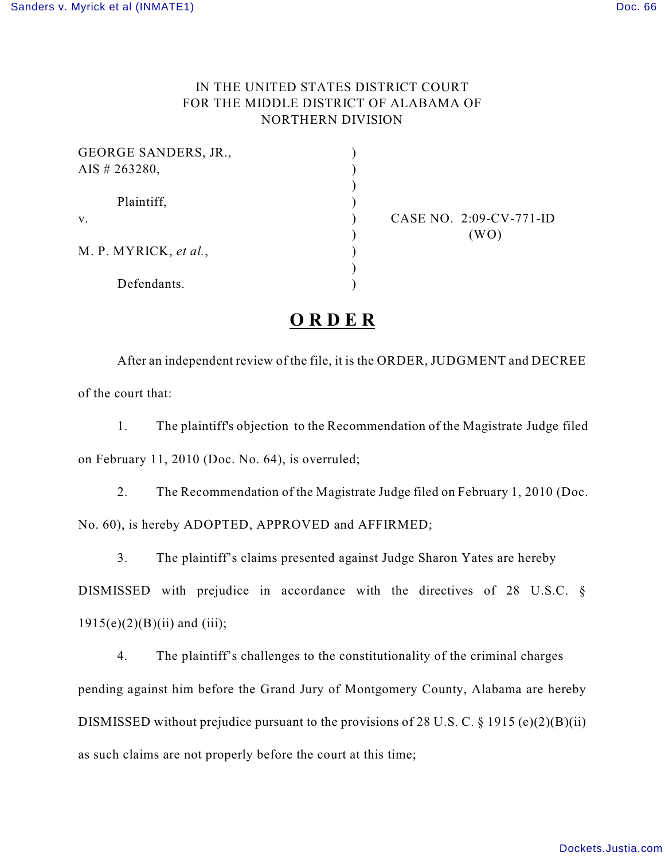## IN THE UNITED STATES DISTRICT COURT FOR THE MIDDLE DISTRICT OF ALABAMA OF NORTHERN DIVISION

| <b>GEORGE SANDERS, JR.,</b> |  |
|-----------------------------|--|
| AIS # 263280,               |  |
| Plaintiff,                  |  |
| V.                          |  |
|                             |  |
| M. P. MYRICK, et al.,       |  |
|                             |  |
| Defendants.                 |  |

CASE NO. 2:09-CV-771-ID  $(WO)$ 

## **O R D E R**

After an independent review of the file, it is the ORDER, JUDGMENT and DECREE of the court that:

1. The plaintiff's objection to the Recommendation of the Magistrate Judge filed on February 11, 2010 (Doc. No. 64), is overruled;

2. The Recommendation of the Magistrate Judge filed on February 1, 2010 (Doc. No. 60), is hereby ADOPTED, APPROVED and AFFIRMED;

3. The plaintiff's claims presented against Judge Sharon Yates are hereby

DISMISSED with prejudice in accordance with the directives of 28 U.S.C. §  $1915(e)(2)(B)(ii)$  and (iii);

4. The plaintiff's challenges to the constitutionality of the criminal charges pending against him before the Grand Jury of Montgomery County, Alabama are hereby DISMISSED without prejudice pursuant to the provisions of 28 U.S. C.  $\S$  1915 (e)(2)(B)(ii) as such claims are not properly before the court at this time;